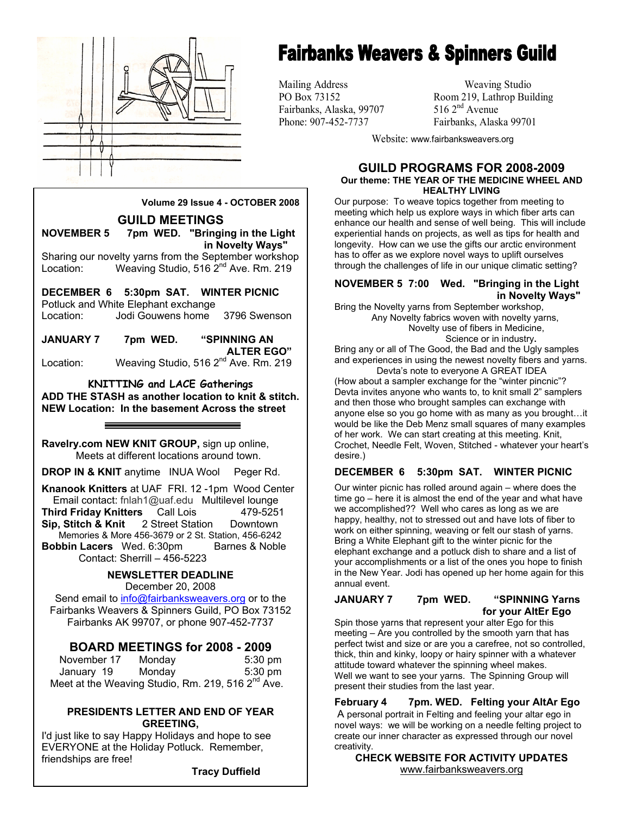

## **Fairbanks Weavers & Spinners Guild**

Fairbanks, Alaska, 99707

Mailing Address Weaving Studio PO Box 73152 Room 219, Lathrop Building<br>Fairbanks. Alaska. 99707 516 2<sup>nd</sup> Avenue Phone: 907-452-7737 Fairbanks, Alaska 99701

Website: www.fairbanksweavers.org

#### **GUILD PROGRAMS FOR 2008-2009 Our theme: THE YEAR OF THE MEDICINE WHEEL AND HEALTHY LIVING**

Our purpose: To weave topics together from meeting to meeting which help us explore ways in which fiber arts can enhance our health and sense of well being. This will include experiential hands on projects, as well as tips for health and longevity. How can we use the gifts our arctic environment has to offer as we explore novel ways to uplift ourselves through the challenges of life in our unique climatic setting?

#### **NOVEMBER 5 7:00 Wed. "Bringing in the Light in Novelty Ways"**

Bring the Novelty yarns from September workshop, Any Novelty fabrics woven with novelty yarns,

Novelty use of fibers in Medicine,

Science or in industry**.** 

Bring any or all of The Good, the Bad and the Ugly samples and experiences in using the newest novelty fibers and yarns.

Devta's note to everyone A GREAT IDEA (How about a sampler exchange for the "winter pincnic"? Devta invites anyone who wants to, to knit small 2" samplers and then those who brought samples can exchange with anyone else so you go home with as many as you brought…it would be like the Deb Menz small squares of many examples of her work. We can start creating at this meeting. Knit, Crochet, Needle Felt, Woven, Stitched - whatever your heart's desire.)

#### **DECEMBER 6 5:30pm SAT. WINTER PICNIC**

Our winter picnic has rolled around again – where does the time go – here it is almost the end of the year and what have we accomplished?? Well who cares as long as we are happy, healthy, not to stressed out and have lots of fiber to work on either spinning, weaving or felt our stash of yarns. Bring a White Elephant gift to the winter picnic for the elephant exchange and a potluck dish to share and a list of your accomplishments or a list of the ones you hope to finish in the New Year. Jodi has opened up her home again for this annual event.

#### **JANUARY 7 7pm WED. "SPINNING Yarns for your AltEr Ego**

Spin those yarns that represent your alter Ego for this meeting – Are you controlled by the smooth yarn that has perfect twist and size or are you a carefree, not so controlled, thick, thin and kinky, loopy or hairy spinner with a whatever attitude toward whatever the spinning wheel makes. Well we want to see your yarns. The Spinning Group will present their studies from the last year.

**February 4 7pm. WED. Felting your AltAr Ego**  A personal portrait in Felting and feeling your altar ego in novel ways: we will be working on a needle felting project to create our inner character as expressed through our novel creativity.

**CHECK WEBSITE FOR ACTIVITY UPDATES**  www.fairbanksweavers.org

**Volume 29 Issue 4 - OCTOBER 2008** 

**GUILD MEETINGS NOVEMBER 5 7pm WED. "Bringing in the Light** 

 **in Novelty Ways"**  Sharing our novelty yarns from the September workshop Location: Weaving Studio, 516 2<sup>nd</sup> Ave. Rm. 219

**DECEMBER 6 5:30pm SAT. WINTER PICNIC**  Potluck and White Elephant exchange Location: Jodi Gouwens home 3796 Swenson

**JANUARY 7 7pm WED. "SPINNING AN ALTER EGO"**  Location: Weaving Studio, 516 2<sup>nd</sup> Ave. Rm. 219

**KNITTING and LACE Gatherings ADD THE STASH as another location to knit & stitch. NEW Location: In the basement Across the street** 

**Ravelry.com NEW KNIT GROUP,** sign up online, Meets at different locations around town.

**DROP IN & KNIT** anytime INUA Wool Peger Rd.

**Knanook Knitters** at UAF FRI. 12 -1pm Wood Center Email contact: fnlah1@uaf.edu Multilevel lounge<br> **hird Fridav Knitters** Call Lois 479-5251 **Third Friday Knitters** Call Lois **Sip, Stitch & Knit** 2 Street Station Downtown Memories & More 456-3679 or 2 St. Station, 456-6242 **Bobbin Lacers** Wed. 6:30pm Barnes & Noble Contact: Sherrill – 456-5223

#### **NEWSLETTER DEADLINE**  December 20, 2008

Send email to info@fairbanksweavers.org or to the Fairbanks Weavers & Spinners Guild, PO Box 73152 Fairbanks AK 99707, or phone 907-452-7737

#### **BOARD MEETINGS for 2008 - 2009**

November 17 Monday 5:30 pm January 19 Monday 5:30 pm Meet at the Weaving Studio, Rm. 219, 516 2<sup>nd</sup> Ave.

#### **PRESIDENTS LETTER AND END OF YEAR GREETING,**

I'd just like to say Happy Holidays and hope to see EVERYONE at the Holiday Potluck. Remember, friendships are free!

 **Tracy Duffield**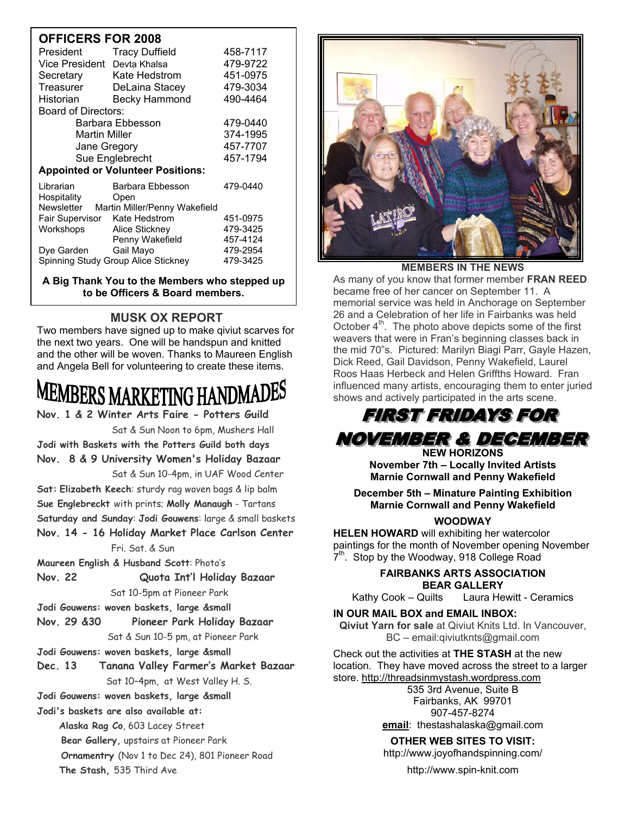#### **OFFICERS FOR 2008**

| UFFIUENJ FUN ZUUO                           |                       |          |
|---------------------------------------------|-----------------------|----------|
| President                                   | <b>Tracy Duffield</b> | 458-7117 |
| Vice President                              | Devta Khalsa          | 479-9722 |
| Secretary                                   | Kate Hedstrom         | 451-0975 |
| Treasurer                                   | DeLaina Stacey        | 479-3034 |
| Historian                                   | <b>Becky Hammond</b>  | 490-4464 |
| Board of Directors:                         |                       |          |
| Barbara Ebbesson                            |                       | 479-0440 |
| <b>Martin Miller</b>                        |                       | 374-1995 |
| Jane Gregory                                |                       | 457-7707 |
| Sue Englebrecht                             |                       | 457-1794 |
| <b>Appointed or Volunteer Positions:</b>    |                       |          |
| Librarian                                   | Barbara Ebbesson      | 479-0440 |
| Hospitality                                 | Open                  |          |
| Newsletter<br>Martin Miller/Penny Wakefield |                       |          |
| Fair Supervisor                             | Kate Hedstrom         | 451-0975 |
| Workshops                                   | Alice Stickney        | 479-3425 |
|                                             | Penny Wakefield       | 457-4124 |
| Dye Garden                                  | Gail Mayo             | 479-2954 |
| Spinning Study Group Alice Stickney         |                       | 479-3425 |

**A Big Thank You to the Members who stepped up to be Officers & Board members.**

#### **MUSK OX REPORT**

Two members have signed up to make qiviut scarves for the next two years. One will be handspun and knitted and the other will be woven. Thanks to Maureen English and Angela Bell for volunteering to create these items.

# EMBERS MARKETING HA

**Nov. 1 & 2 Winter Arts Faire - Potters Guild**

Sat & Sun Noon to 6pm, Mushers Hall

**Jodi with Baskets with the Potters Guild both days Nov. 8 & 9 University Women's Holiday Bazaar** Sat & Sun 10-4pm, in UAF Wood Center

**Sat: Elizabeth Keech**: sturdy rag woven bags & lip balm **Sue Englebreckt** with prints; **Molly Manaugh** - Tartans **Saturday and Sunday**: **Jodi Gouwens**: large & small baskets **Nov. 14 - 16 Holiday Market Place Carlson Center** 

#### Fri. Sat. & Sun

**Maureen English & Husband Scott**: Photo's

**Nov. 22 Quota Int'l Holiday Bazaar**

Sat 10-5pm at Pioneer Park

**Jodi Gouwens: woven baskets, large &small**

**Nov. 29 &30 Pioneer Park Holiday Bazaar** Sat & Sun 10-5 pm, at Pioneer Park

**Jodi Gouwens: woven baskets, large &small**

**Dec. 13 Tanana Valley Farmer's Market Bazaar**  Sat 10–4pm, at West Valley H. S.

**Jodi Gouwens: woven baskets, large &small**

**Jodi's baskets are also available at:** 

**Alaska Rag Co**, 603 Lacey Street

 **Bear Gallery,** upstairs at Pioneer Park

 **Ornamentry** (Nov 1 to Dec 24), 801 Pioneer Road **The Stash,** 535 Third Ave



**MEMBERS IN THE NEWS** 

As many of you know that former member **FRAN REED**  became free of her cancer on September 11. A memorial service was held in Anchorage on September 26 and a Celebration of her life in Fairbanks was held October  $4<sup>th</sup>$ . The photo above depicts some of the first weavers that were in Fran's beginning classes back in the mid 70"s. Pictured: Marilyn Biagi Parr, Gayle Hazen, Dick Reed, Gail Davidson, Penny Wakefield, Laurel Roos Haas Herbeck and Helen Griffths Howard.Fran influenced many artists, encouraging them to enter juried shows and actively participated in the arts scene.

#### **FIRST FRIDAYS FOR** *NOVEMBER & DECEMBER* **NEW HORIZONS**

**November 7th – Locally Invited Artists Marnie Cornwall and Penny Wakefield** 

**December 5th – Minature Painting Exhibition Marnie Cornwall and Penny Wakefield** 

#### **WOODWAY**

**HELEN HOWARD** will exhibiting her watercolor paintings for the month of November opening November 7<sup>th</sup>. Stop by the Woodway, 918 College Road

#### **FAIRBANKS ARTS ASSOCIATION BEAR GALLERY**

Kathy Cook – Quilts Laura Hewitt - Ceramics

#### **IN OUR MAIL BOX and EMAIL INBOX:**

**Qiviut Yarn for sale** at Qiviut Knits Ltd. In Vancouver, BC – email:qiviutknts@gmail.com

Check out the activities at **THE STASH** at the new location. They have moved across the street to a larger store. http://threadsinmystash.wordpress.com

535 3rd Avenue, Suite B Fairbanks, AK 99701 907-457-8274 **email**: thestashalaska@gmail.com

#### **OTHER WEB SITES TO VISIT:**

http://www.joyofhandspinning.com/

http://www.spin-knit.com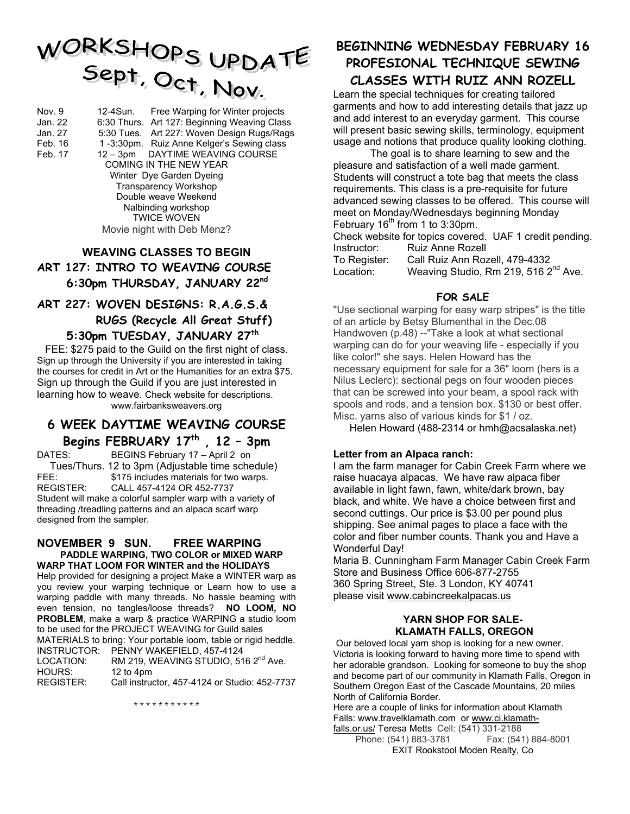# WORKSHOPS UPDATE<br>Sept, Oct, Nov.

Nov. 9 12-4Sun. Free Warping for Winter projects Jan. 22 6:30 Thurs. Art 127: Beginning Weaving Class Jan. 27 5:30 Tues. Art 227: Woven Design Rugs/Rags Feb. 16 1 -3:30pm. Ruiz Anne Kelger's Sewing class<br>Feb. 17 12 - 3pm DAYTIME WEAVING COURSE 12 – 3pm DAYTIME WEAVING COURSE COMING IN THE NEW YEAR Winter Dye Garden Dyeing Transparency Workshop Double weave Weekend Nalbinding workshop TWICE WOVEN Movie night with Deb Menz?

#### **WEAVING CLASSES TO BEGIN ART 127: INTRO TO WEAVING COURSE 6:30pm THURSDAY, JANUARY 22nd**

**ART 227: WOVEN DESIGNS: R.A.G.S.&** 

 **RUGS (Recycle All Great Stuff) 5:30pm TUESDAY, JANUARY 27th** 

FEE: \$275 paid to the Guild on the first night of class. Sign up through the University if you are interested in taking the courses for credit in Art or the Humanities for an extra \$75. Sign up through the Guild if you are just interested in learning how to weave. Check website for descriptions. www.fairbanksweavers.org

#### **6 WEEK DAYTIME WEAVING COURSE Begins FEBRUARY 17th , 12 – 3pm**

DATES: BEGINS February 17 – April 2 on Tues/Thurs. 12 to 3pm (Adjustable time schedule) FEE: \$175 includes materials for two warps. REGISTER: CALL 457-4124 OR 452-7737 Student will make a colorful sampler warp with a variety of threading /treadling patterns and an alpaca scarf warp designed from the sampler.

#### **NOVEMBER 9 SUN. FREE WARPING PADDLE WARPING, TWO COLOR or MIXED WARP WARP THAT LOOM FOR WINTER and the HOLIDAYS**

Help provided for designing a project Make a WINTER warp as you review your warping technique or Learn how to use a warping paddle with many threads. No hassle beaming with even tension, no tangles/loose threads? **NO LOOM, NO PROBLEM**, make a warp & practice WARPING a studio loom to be used for the PROJECT WEAVING for Guild sales MATERIALS to bring: Your portable loom, table or rigid heddle. INSTRUCTOR: PENNY WAKEFIELD, 457-4124 LOCATION: RM 219, WEAVING STUDIO, 516 2<sup>nd</sup> Ave. HOURS: 12 to 4pm REGISTER: Call instructor, 457-4124 or Studio: 452-7737

\*\*\*\*\*\*\*\*\*\*\*

## **BEGINNING WEDNESDAY FEBRUARY 16 PROFESIONAL TECHNIQUE SEWING**

### **CLASSES WITH RUIZ ANN ROZELL**

Learn the special techniques for creating tailored garments and how to add interesting details that jazz up and add interest to an everyday garment. This course will present basic sewing skills, terminology, equipment usage and notions that produce quality looking clothing.

 The goal is to share learning to sew and the pleasure and satisfaction of a well made garment. Students will construct a tote bag that meets the class requirements. This class is a pre-requisite for future advanced sewing classes to be offered. This course will meet on Monday/Wednesdays beginning Monday February  $16<sup>th</sup>$  from 1 to 3:30pm.

Check website for topics covered. UAF 1 credit pending. Instructor: Ruiz Anne Rozell To Register: Call Ruiz Ann Rozell, 479-4332 Location: Weaving Studio, Rm 219, 516 2<sup>nd</sup> Ave.

#### **FOR SALE**

"Use sectional warping for easy warp stripes" is the title of an article by Betsy Blumenthal in the Dec.08 Handwoven (p.48) --"Take a look at what sectional warping can do for your weaving life - especially if you like color!" she says. Helen Howard has the necessary equipment for sale for a 36" loom (hers is a Nilus Leclerc): sectional pegs on four wooden pieces that can be screwed into your beam, a spool rack with spools and rods, and a tension box. \$130 or best offer. Misc. yarns also of various kinds for \$1 / oz.

Helen Howard (488-2314 or hmh@acsalaska.net)

#### **Letter from an Alpaca ranch:**

I am the farm manager for Cabin Creek Farm where we raise huacaya alpacas. We have raw alpaca fiber available in light fawn, fawn, white/dark brown, bay black, and white. We have a choice between first and second cuttings. Our price is \$3.00 per pound plus shipping. See animal pages to place a face with the color and fiber number counts. Thank you and Have a Wonderful Day!

Maria B. Cunningham Farm Manager Cabin Creek Farm Store and Business Office 606-877-2755 360 Spring Street, Ste. 3 London, KY 40741 please visit www.cabincreekalpacas.us

#### **YARN SHOP FOR SALE- KLAMATH FALLS, OREGON**

Our beloved local yarn shop is looking for a new owner. Victoria is looking forward to having more time to spend with her adorable grandson. Looking for someone to buy the shop and become part of our community in Klamath Falls, Oregon in Southern Oregon East of the Cascade Mountains, 20 miles North of California Border.

Here are a couple of links for information about Klamath Falls: www.travelklamath.com or www.ci.klamath-

falls.or.us/ Teresa Metts Cell: (541) 331-2188 Phone: (541) 883-3781 Fax: (541) 884-8001 EXIT Rookstool Moden Realty, Co